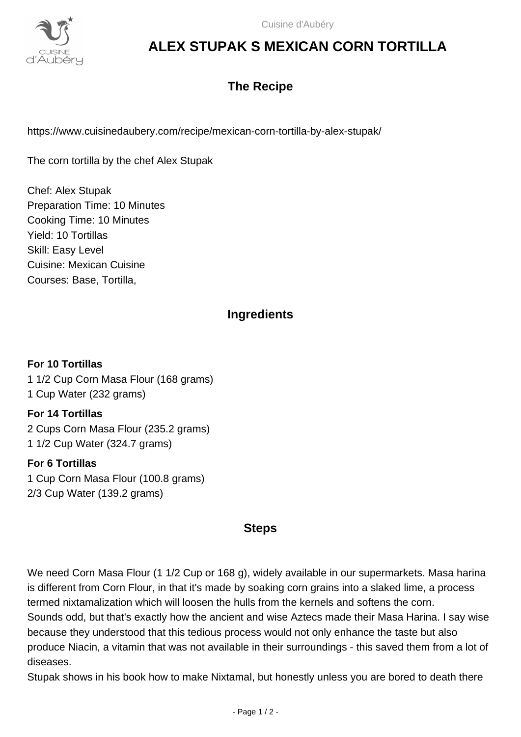

# **ALEX STUPAK S MEXICAN CORN TORTILLA**

# **The Recipe**

https://www.cuisinedaubery.com/recipe/mexican-corn-tortilla-by-alex-stupak/

The corn tortilla by the chef Alex Stupak

Chef: Alex Stupak Preparation Time: 10 Minutes Cooking Time: 10 Minutes Yield: 10 Tortillas Skill: Easy Level Cuisine: Mexican Cuisine Courses: Base, Tortilla,

## **Ingredients**

**For 10 Tortillas** 1 1/2 Cup Corn Masa Flour (168 grams) 1 Cup Water (232 grams)

**For 14 Tortillas** 2 Cups Corn Masa Flour (235.2 grams) 1 1/2 Cup Water (324.7 grams)

#### **For 6 Tortillas**

1 Cup Corn Masa Flour (100.8 grams) 2/3 Cup Water (139.2 grams)

### **Steps**

We need Corn Masa Flour (1 1/2 Cup or 168 g), widely available in our supermarkets. Masa harina is different from Corn Flour, in that it's made by soaking corn grains into a slaked lime, a process termed nixtamalization which will loosen the hulls from the kernels and softens the corn. Sounds odd, but that's exactly how the ancient and wise Aztecs made their Masa Harina. I say wise because they understood that this tedious process would not only enhance the taste but also produce Niacin, a vitamin that was not available in their surroundings - this saved them from a lot of diseases.

Stupak shows in his book how to make Nixtamal, but honestly unless you are bored to death there